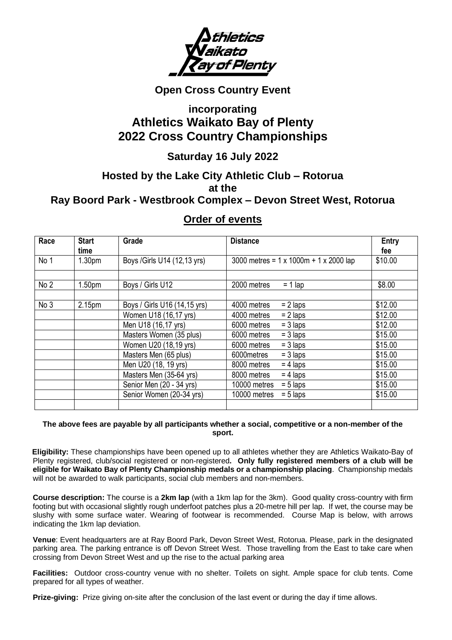

# **Open Cross Country Event**

# **incorporating Athletics Waikato Bay of Plenty 2022 Cross Country Championships**

# **Saturday 16 July 2022**

# **Hosted by the Lake City Athletic Club – Rotorua at the Ray Boord Park - Westbrook Complex – Devon Street West, Rotorua**

# **Order of events**

| Race            | <b>Start</b>       | Grade                        | <b>Distance</b>                                       | Entry   |
|-----------------|--------------------|------------------------------|-------------------------------------------------------|---------|
|                 | time               |                              |                                                       | fee     |
| No 1            | 1.30 <sub>pm</sub> | Boys / Girls U14 (12,13 yrs) | 3000 metres = $1 \times 1000$ m + $1 \times 2000$ lap | \$10.00 |
|                 |                    |                              |                                                       |         |
| No <sub>2</sub> | 1.50 <sub>pm</sub> | Boys / Girls U12             | 2000 metres<br>$= 1$ lap                              | \$8.00  |
|                 |                    |                              |                                                       |         |
| No <sub>3</sub> | 2.15pm             | Boys / Girls U16 (14,15 yrs) | $= 2$ laps<br>4000 metres                             | \$12.00 |
|                 |                    | Women U18 (16,17 yrs)        | $= 2$ laps<br>4000 metres                             | \$12.00 |
|                 |                    | Men U18 (16,17 yrs)          | $= 3$ laps<br>6000 metres                             | \$12.00 |
|                 |                    | Masters Women (35 plus)      | $= 3$ laps<br>6000 metres                             | \$15.00 |
|                 |                    | Women U20 (18,19 yrs)        | $= 3$ laps<br>6000 metres                             | \$15.00 |
|                 |                    | Masters Men (65 plus)        | $= 3$ laps<br>6000 metres                             | \$15.00 |
|                 |                    | Men U20 (18, 19 yrs)         | $= 4$ laps<br>8000 metres                             | \$15.00 |
|                 |                    | Masters Men (35-64 yrs)      | $= 4$ laps<br>8000 metres                             | \$15.00 |
|                 |                    | Senior Men (20 - 34 yrs)     | $= 5$ laps<br>10000 metres                            | \$15.00 |
|                 |                    | Senior Women (20-34 yrs)     | 10000 metres<br>$= 5$ laps                            | \$15.00 |
|                 |                    |                              |                                                       |         |

## **The above fees are payable by all participants whether a social, competitive or a non-member of the sport.**

**Eligibility:** These championships have been opened up to all athletes whether they are Athletics Waikato-Bay of Plenty registered, club/social registered or non-registered**. Only fully registered members of a club will be eligible for Waikato Bay of Plenty Championship medals or a championship placing**. Championship medals will not be awarded to walk participants, social club members and non-members.

**Course description:** The course is a **2km lap** (with a 1km lap for the 3km). Good quality cross-country with firm footing but with occasional slightly rough underfoot patches plus a 20-metre hill per lap. If wet, the course may be slushy with some surface water. Wearing of footwear is recommended. Course Map is below, with arrows indicating the 1km lap deviation.

**Venue**: Event headquarters are at Ray Boord Park, Devon Street West, Rotorua. Please, park in the designated parking area. The parking entrance is off Devon Street West. Those travelling from the East to take care when crossing from Devon Street West and up the rise to the actual parking area

**Facilities:** Outdoor cross-country venue with no shelter. Toilets on sight. Ample space for club tents. Come prepared for all types of weather.

**Prize-giving:** Prize giving on-site after the conclusion of the last event or during the day if time allows.